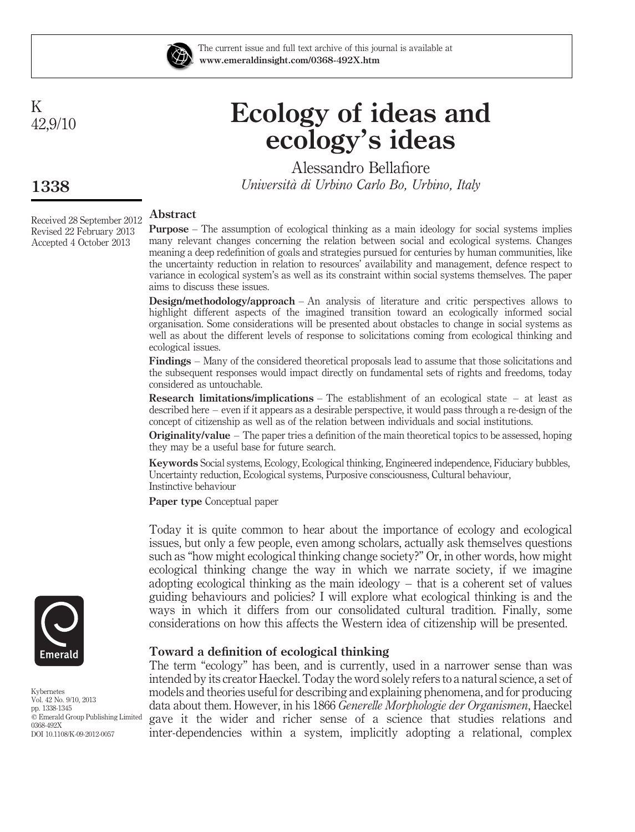

The current issue and full text archive of this journal is available at www.emeraldinsight.com/0368-492X.htm

1338

# Ecology of ideas and ecology's ideas

Alessandro Bellafiore Universita` di Urbino Carlo Bo, Urbino, Italy

# Abstract

Received 28 September 2012 Revised 22 February 2013 Accepted 4 October 2013

Purpose – The assumption of ecological thinking as a main ideology for social systems implies many relevant changes concerning the relation between social and ecological systems. Changes meaning a deep redefinition of goals and strategies pursued for centuries by human communities, like the uncertainty reduction in relation to resources' availability and management, defence respect to variance in ecological system's as well as its constraint within social systems themselves. The paper aims to discuss these issues.

Design/methodology/approach – An analysis of literature and critic perspectives allows to highlight different aspects of the imagined transition toward an ecologically informed social organisation. Some considerations will be presented about obstacles to change in social systems as well as about the different levels of response to solicitations coming from ecological thinking and ecological issues.

Findings – Many of the considered theoretical proposals lead to assume that those solicitations and the subsequent responses would impact directly on fundamental sets of rights and freedoms, today considered as untouchable.

**Research limitations/implications** – The establishment of an ecological state – at least as described here  $-$  even if it appears as a desirable perspective, it would pass through a re-design of the concept of citizenship as well as of the relation between individuals and social institutions.

**Originality/value** – The paper tries a definition of the main theoretical topics to be assessed, hoping they may be a useful base for future search.

Keywords Social systems, Ecology, Ecological thinking, Engineered independence, Fiduciary bubbles, Uncertainty reduction, Ecological systems, Purposive consciousness, Cultural behaviour, Instinctive behaviour

Paper type Conceptual paper

Today it is quite common to hear about the importance of ecology and ecological issues, but only a few people, even among scholars, actually ask themselves questions such as "how might ecological thinking change society?" Or, in other words, how might ecological thinking change the way in which we narrate society, if we imagine adopting ecological thinking as the main ideology – that is a coherent set of values guiding behaviours and policies? I will explore what ecological thinking is and the ways in which it differs from our consolidated cultural tradition. Finally, some considerations on how this affects the Western idea of citizenship will be presented.

# Toward a definition of ecological thinking

The term "ecology" has been, and is currently, used in a narrower sense than was intended by its creator Haeckel. Today the word solely refers to a natural science, a set of models and theories useful for describing and explaining phenomena, and for producing data about them. However, in his 1866 Generelle Morphologie der Organismen, Haeckel gave it the wider and richer sense of a science that studies relations and inter-dependencies within a system, implicitly adopting a relational, complex



Kybernetes Vol. 42 No. 9/10, 2013 pp. 1338-1345 q Emerald Group Publishing Limited 0368-492X DOI 10.1108/K-09-2012-0057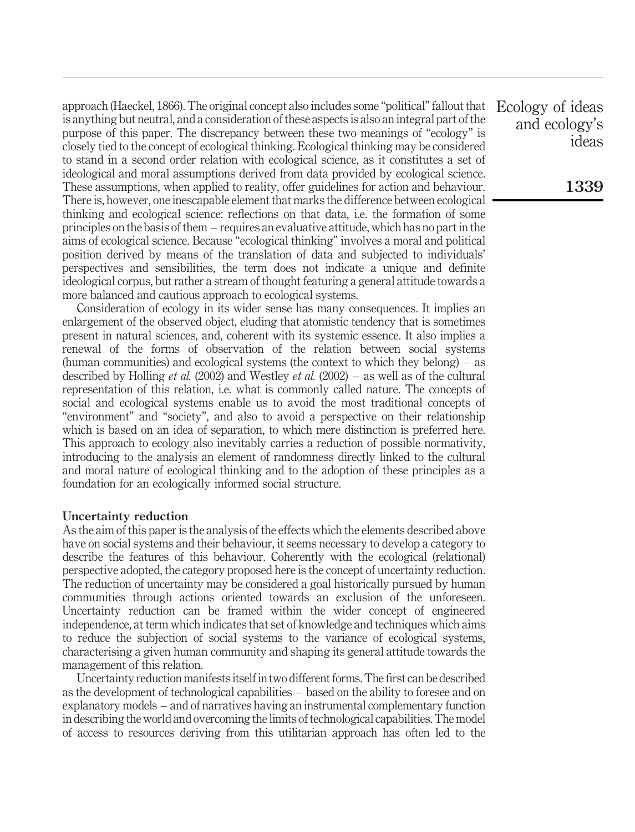approach (Haeckel, 1866). The original concept also includes some "political" fallout that is anything but neutral, and a consideration of these aspects is also an integral part of the purpose of this paper. The discrepancy between these two meanings of "ecology" is closely tied to the concept of ecological thinking. Ecological thinking may be considered to stand in a second order relation with ecological science, as it constitutes a set of ideological and moral assumptions derived from data provided by ecological science. These assumptions, when applied to reality, offer guidelines for action and behaviour. There is, however, one inescapable element that marks the difference between ecological thinking and ecological science: reflections on that data, i.e. the formation of some principles on the basis of them – requires an evaluative attitude, which has no part in the aims of ecological science. Because "ecological thinking" involves a moral and political position derived by means of the translation of data and subjected to individuals' perspectives and sensibilities, the term does not indicate a unique and definite ideological corpus, but rather a stream of thought featuring a general attitude towards a more balanced and cautious approach to ecological systems.

Consideration of ecology in its wider sense has many consequences. It implies an enlargement of the observed object, eluding that atomistic tendency that is sometimes present in natural sciences, and, coherent with its systemic essence. It also implies a renewal of the forms of observation of the relation between social systems (human communities) and ecological systems (the context to which they belong) – as described by Holling *et al.* (2002) and Westley *et al.* (2002) – as well as of the cultural representation of this relation, i.e. what is commonly called nature. The concepts of social and ecological systems enable us to avoid the most traditional concepts of "environment" and "society", and also to avoid a perspective on their relationship which is based on an idea of separation, to which mere distinction is preferred here. This approach to ecology also inevitably carries a reduction of possible normativity, introducing to the analysis an element of randomness directly linked to the cultural and moral nature of ecological thinking and to the adoption of these principles as a foundation for an ecologically informed social structure.

## Uncertainty reduction

As the aim of this paper is the analysis of the effects which the elements described above have on social systems and their behaviour, it seems necessary to develop a category to describe the features of this behaviour. Coherently with the ecological (relational) perspective adopted, the category proposed here is the concept of uncertainty reduction. The reduction of uncertainty may be considered a goal historically pursued by human communities through actions oriented towards an exclusion of the unforeseen. Uncertainty reduction can be framed within the wider concept of engineered independence, at term which indicates that set of knowledge and techniques which aims to reduce the subjection of social systems to the variance of ecological systems, characterising a given human community and shaping its general attitude towards the management of this relation.

Uncertainty reduction manifests itself in two different forms. The first can be described as the development of technological capabilities – based on the ability to foresee and on explanatory models – and of narratives having an instrumental complementary function in describing the world and overcoming the limits of technological capabilities. The model of access to resources deriving from this utilitarian approach has often led to the

Ecology of ideas and ecology's ideas

1339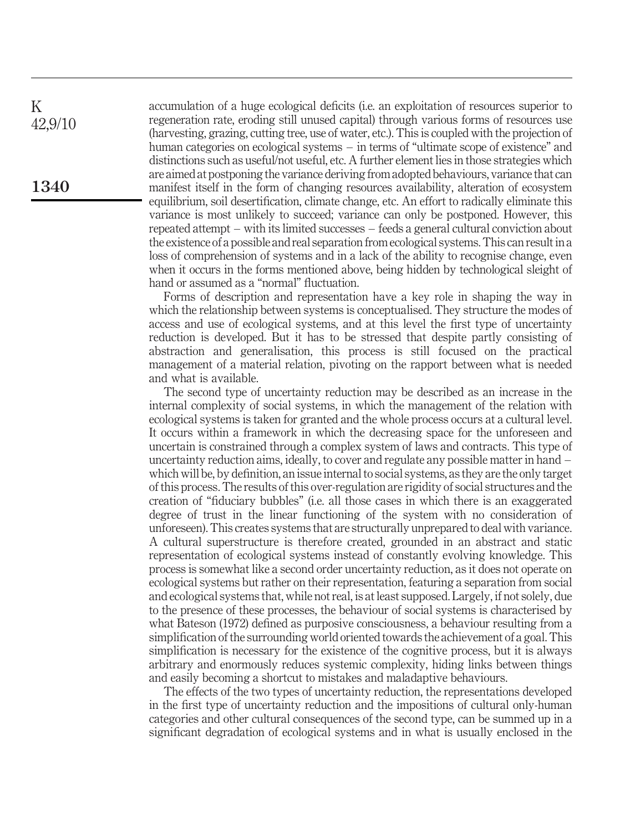accumulation of a huge ecological deficits (i.e. an exploitation of resources superior to regeneration rate, eroding still unused capital) through various forms of resources use (harvesting, grazing, cutting tree, use of water, etc.). This is coupled with the projection of human categories on ecological systems – in terms of "ultimate scope of existence" and distinctions such as useful/not useful, etc. A further element lies in those strategies which are aimed at postponing the variance deriving from adopted behaviours, variance that can manifest itself in the form of changing resources availability, alteration of ecosystem equilibrium, soil desertification, climate change, etc. An effort to radically eliminate this variance is most unlikely to succeed; variance can only be postponed. However, this repeated attempt – with its limited successes – feeds a general cultural conviction about the existence of a possible and real separation from ecological systems. This can result in a loss of comprehension of systems and in a lack of the ability to recognise change, even when it occurs in the forms mentioned above, being hidden by technological sleight of hand or assumed as a "normal" fluctuation.

Forms of description and representation have a key role in shaping the way in which the relationship between systems is conceptualised. They structure the modes of access and use of ecological systems, and at this level the first type of uncertainty reduction is developed. But it has to be stressed that despite partly consisting of abstraction and generalisation, this process is still focused on the practical management of a material relation, pivoting on the rapport between what is needed and what is available.

The second type of uncertainty reduction may be described as an increase in the internal complexity of social systems, in which the management of the relation with ecological systems is taken for granted and the whole process occurs at a cultural level. It occurs within a framework in which the decreasing space for the unforeseen and uncertain is constrained through a complex system of laws and contracts. This type of uncertainty reduction aims, ideally, to cover and regulate any possible matter in hand – which will be, by definition, an issue internal to social systems, as they are the only target of this process. The results of this over-regulation are rigidity of social structures and the creation of "fiduciary bubbles" (i.e. all those cases in which there is an exaggerated degree of trust in the linear functioning of the system with no consideration of unforeseen). This creates systems that are structurally unprepared to deal with variance. A cultural superstructure is therefore created, grounded in an abstract and static representation of ecological systems instead of constantly evolving knowledge. This process is somewhat like a second order uncertainty reduction, as it does not operate on ecological systems but rather on their representation, featuring a separation from social and ecological systems that, while not real, is at least supposed. Largely, if not solely, due to the presence of these processes, the behaviour of social systems is characterised by what Bateson (1972) defined as purposive consciousness, a behaviour resulting from a simplification of the surrounding world oriented towards the achievement of a goal. This simplification is necessary for the existence of the cognitive process, but it is always arbitrary and enormously reduces systemic complexity, hiding links between things and easily becoming a shortcut to mistakes and maladaptive behaviours.

The effects of the two types of uncertainty reduction, the representations developed in the first type of uncertainty reduction and the impositions of cultural only-human categories and other cultural consequences of the second type, can be summed up in a significant degradation of ecological systems and in what is usually enclosed in the

1340

K 42,9/10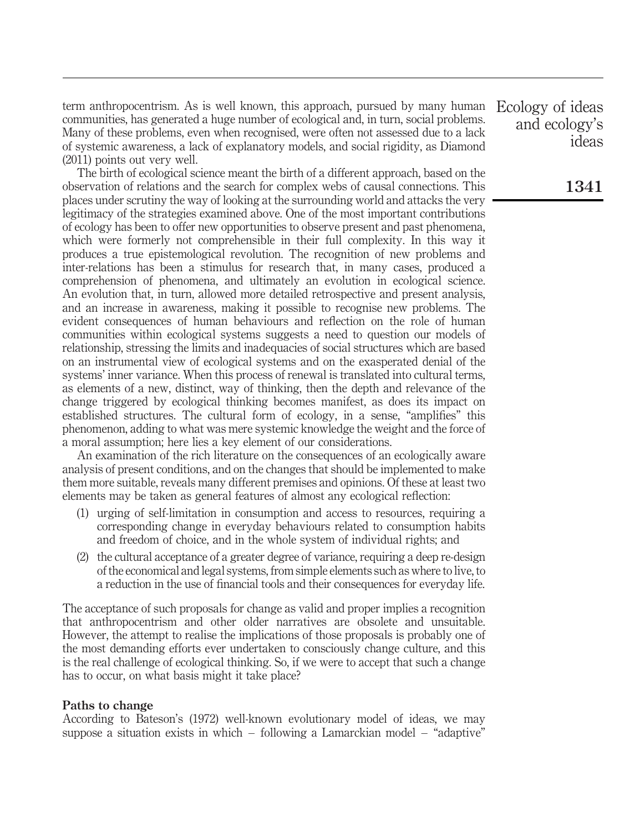term anthropocentrism. As is well known, this approach, pursued by many human communities, has generated a huge number of ecological and, in turn, social problems. Many of these problems, even when recognised, were often not assessed due to a lack of systemic awareness, a lack of explanatory models, and social rigidity, as Diamond (2011) points out very well.

The birth of ecological science meant the birth of a different approach, based on the observation of relations and the search for complex webs of causal connections. This places under scrutiny the way of looking at the surrounding world and attacks the very legitimacy of the strategies examined above. One of the most important contributions of ecology has been to offer new opportunities to observe present and past phenomena, which were formerly not comprehensible in their full complexity. In this way it produces a true epistemological revolution. The recognition of new problems and inter-relations has been a stimulus for research that, in many cases, produced a comprehension of phenomena, and ultimately an evolution in ecological science. An evolution that, in turn, allowed more detailed retrospective and present analysis, and an increase in awareness, making it possible to recognise new problems. The evident consequences of human behaviours and reflection on the role of human communities within ecological systems suggests a need to question our models of relationship, stressing the limits and inadequacies of social structures which are based on an instrumental view of ecological systems and on the exasperated denial of the systems' inner variance. When this process of renewal is translated into cultural terms, as elements of a new, distinct, way of thinking, then the depth and relevance of the change triggered by ecological thinking becomes manifest, as does its impact on established structures. The cultural form of ecology, in a sense, "amplifies" this phenomenon, adding to what was mere systemic knowledge the weight and the force of a moral assumption; here lies a key element of our considerations.

An examination of the rich literature on the consequences of an ecologically aware analysis of present conditions, and on the changes that should be implemented to make them more suitable, reveals many different premises and opinions. Of these at least two elements may be taken as general features of almost any ecological reflection:

- (1) urging of self-limitation in consumption and access to resources, requiring a corresponding change in everyday behaviours related to consumption habits and freedom of choice, and in the whole system of individual rights; and
- (2) the cultural acceptance of a greater degree of variance, requiring a deep re-design of the economical and legal systems, from simple elements such as where to live, to a reduction in the use of financial tools and their consequences for everyday life.

The acceptance of such proposals for change as valid and proper implies a recognition that anthropocentrism and other older narratives are obsolete and unsuitable. However, the attempt to realise the implications of those proposals is probably one of the most demanding efforts ever undertaken to consciously change culture, and this is the real challenge of ecological thinking. So, if we were to accept that such a change has to occur, on what basis might it take place?

#### Paths to change

According to Bateson's (1972) well-known evolutionary model of ideas, we may suppose a situation exists in which – following a Lamarckian model – "adaptive"

Ecology of ideas and ecology's ideas

1341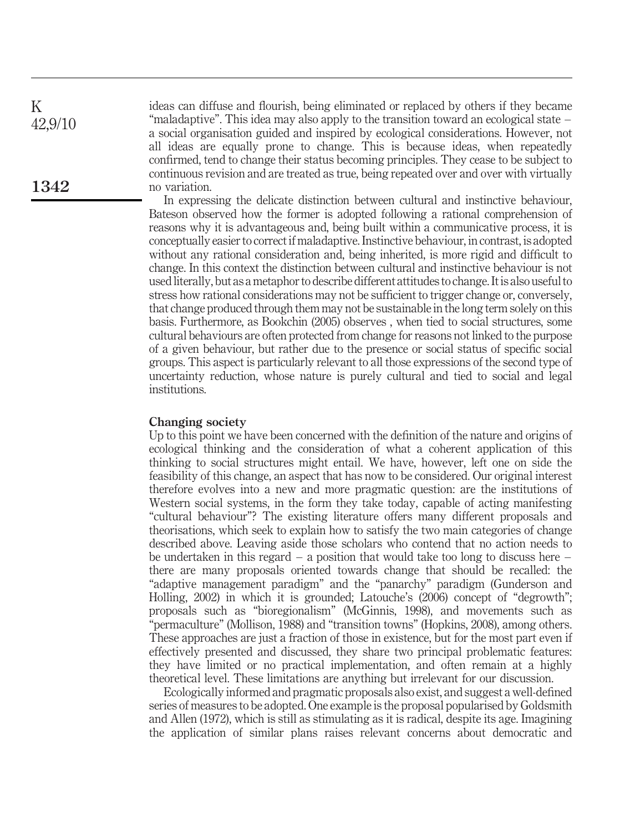ideas can diffuse and flourish, being eliminated or replaced by others if they became "maladaptive". This idea may also apply to the transition toward an ecological state – a social organisation guided and inspired by ecological considerations. However, not all ideas are equally prone to change. This is because ideas, when repeatedly confirmed, tend to change their status becoming principles. They cease to be subject to continuous revision and are treated as true, being repeated over and over with virtually no variation. In expressing the delicate distinction between cultural and instinctive behaviour, K 42,9/10 1342

Bateson observed how the former is adopted following a rational comprehension of reasons why it is advantageous and, being built within a communicative process, it is conceptually easier to correct if maladaptive. Instinctive behaviour, in contrast, is adopted without any rational consideration and, being inherited, is more rigid and difficult to change. In this context the distinction between cultural and instinctive behaviour is not used literally, but as a metaphor to describe different attitudes to change. It is also useful to stress how rational considerations may not be sufficient to trigger change or, conversely, that change produced through them may not be sustainable in the long term solely on this basis. Furthermore, as Bookchin (2005) observes , when tied to social structures, some cultural behaviours are often protected from change for reasons not linked to the purpose of a given behaviour, but rather due to the presence or social status of specific social groups. This aspect is particularly relevant to all those expressions of the second type of uncertainty reduction, whose nature is purely cultural and tied to social and legal institutions.

#### Changing society

Up to this point we have been concerned with the definition of the nature and origins of ecological thinking and the consideration of what a coherent application of this thinking to social structures might entail. We have, however, left one on side the feasibility of this change, an aspect that has now to be considered. Our original interest therefore evolves into a new and more pragmatic question: are the institutions of Western social systems, in the form they take today, capable of acting manifesting "cultural behaviour"? The existing literature offers many different proposals and theorisations, which seek to explain how to satisfy the two main categories of change described above. Leaving aside those scholars who contend that no action needs to be undertaken in this regard – a position that would take too long to discuss here – there are many proposals oriented towards change that should be recalled: the "adaptive management paradigm" and the "panarchy" paradigm (Gunderson and Holling, 2002) in which it is grounded; Latouche's (2006) concept of "degrowth"; proposals such as "bioregionalism" (McGinnis, 1998), and movements such as "permaculture" (Mollison, 1988) and "transition towns" (Hopkins, 2008), among others. These approaches are just a fraction of those in existence, but for the most part even if effectively presented and discussed, they share two principal problematic features: they have limited or no practical implementation, and often remain at a highly theoretical level. These limitations are anything but irrelevant for our discussion.

Ecologically informed and pragmatic proposals also exist, and suggest a well-defined series of measures to be adopted. One example is the proposal popularised by Goldsmith and Allen (1972), which is still as stimulating as it is radical, despite its age. Imagining the application of similar plans raises relevant concerns about democratic and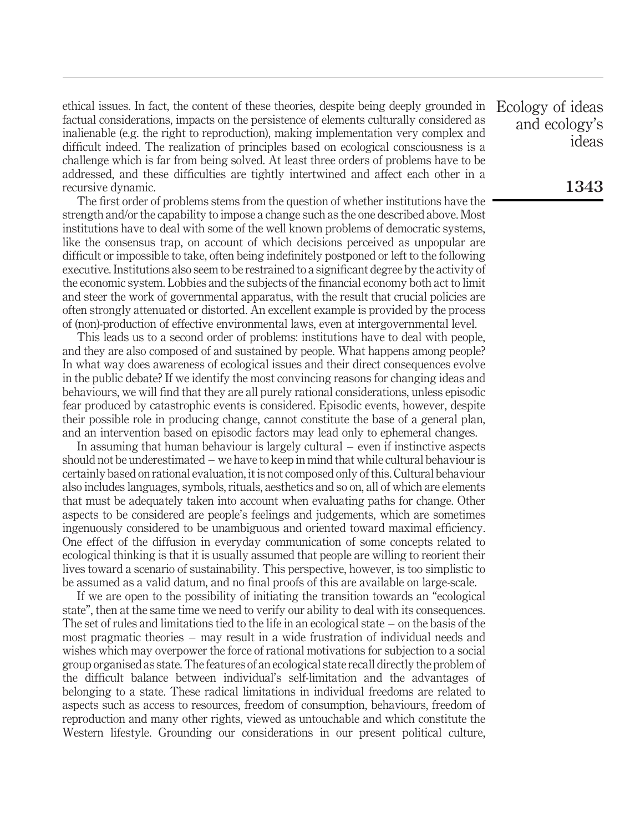ethical issues. In fact, the content of these theories, despite being deeply grounded in factual considerations, impacts on the persistence of elements culturally considered as inalienable (e.g. the right to reproduction), making implementation very complex and difficult indeed. The realization of principles based on ecological consciousness is a challenge which is far from being solved. At least three orders of problems have to be addressed, and these difficulties are tightly intertwined and affect each other in a recursive dynamic.

The first order of problems stems from the question of whether institutions have the strength and/or the capability to impose a change such as the one described above. Most institutions have to deal with some of the well known problems of democratic systems, like the consensus trap, on account of which decisions perceived as unpopular are difficult or impossible to take, often being indefinitely postponed or left to the following executive. Institutions also seem to be restrained to a significant degree by the activity of the economic system. Lobbies and the subjects of the financial economy both act to limit and steer the work of governmental apparatus, with the result that crucial policies are often strongly attenuated or distorted. An excellent example is provided by the process of (non)-production of effective environmental laws, even at intergovernmental level.

This leads us to a second order of problems: institutions have to deal with people, and they are also composed of and sustained by people. What happens among people? In what way does awareness of ecological issues and their direct consequences evolve in the public debate? If we identify the most convincing reasons for changing ideas and behaviours, we will find that they are all purely rational considerations, unless episodic fear produced by catastrophic events is considered. Episodic events, however, despite their possible role in producing change, cannot constitute the base of a general plan, and an intervention based on episodic factors may lead only to ephemeral changes.

In assuming that human behaviour is largely cultural – even if instinctive aspects should not be underestimated – we have to keep in mind that while cultural behaviour is certainly based on rational evaluation, it is not composed only of this. Cultural behaviour also includes languages, symbols, rituals, aesthetics and so on, all of which are elements that must be adequately taken into account when evaluating paths for change. Other aspects to be considered are people's feelings and judgements, which are sometimes ingenuously considered to be unambiguous and oriented toward maximal efficiency. One effect of the diffusion in everyday communication of some concepts related to ecological thinking is that it is usually assumed that people are willing to reorient their lives toward a scenario of sustainability. This perspective, however, is too simplistic to be assumed as a valid datum, and no final proofs of this are available on large-scale.

If we are open to the possibility of initiating the transition towards an "ecological state", then at the same time we need to verify our ability to deal with its consequences. The set of rules and limitations tied to the life in an ecological state  $-$  on the basis of the most pragmatic theories – may result in a wide frustration of individual needs and wishes which may overpower the force of rational motivations for subjection to a social group organised as state. The features of an ecological state recall directly the problem of the difficult balance between individual's self-limitation and the advantages of belonging to a state. These radical limitations in individual freedoms are related to aspects such as access to resources, freedom of consumption, behaviours, freedom of reproduction and many other rights, viewed as untouchable and which constitute the Western lifestyle. Grounding our considerations in our present political culture,

Ecology of ideas and ecology's ideas

1343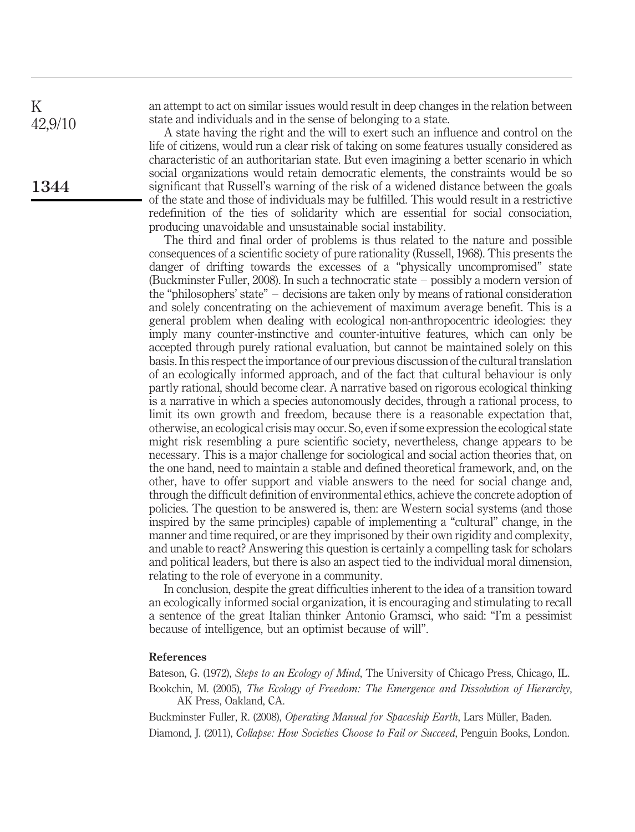K 42,9/10

1344

an attempt to act on similar issues would result in deep changes in the relation between state and individuals and in the sense of belonging to a state.

A state having the right and the will to exert such an influence and control on the life of citizens, would run a clear risk of taking on some features usually considered as characteristic of an authoritarian state. But even imagining a better scenario in which social organizations would retain democratic elements, the constraints would be so significant that Russell's warning of the risk of a widened distance between the goals of the state and those of individuals may be fulfilled. This would result in a restrictive redefinition of the ties of solidarity which are essential for social consociation, producing unavoidable and unsustainable social instability.

The third and final order of problems is thus related to the nature and possible consequences of a scientific society of pure rationality (Russell, 1968). This presents the danger of drifting towards the excesses of a "physically uncompromised" state (Buckminster Fuller, 2008). In such a technocratic state – possibly a modern version of the "philosophers' state" – decisions are taken only by means of rational consideration and solely concentrating on the achievement of maximum average benefit. This is a general problem when dealing with ecological non-anthropocentric ideologies: they imply many counter-instinctive and counter-intuitive features, which can only be accepted through purely rational evaluation, but cannot be maintained solely on this basis. In this respect the importance of our previous discussion of the cultural translation of an ecologically informed approach, and of the fact that cultural behaviour is only partly rational, should become clear. A narrative based on rigorous ecological thinking is a narrative in which a species autonomously decides, through a rational process, to limit its own growth and freedom, because there is a reasonable expectation that, otherwise, an ecological crisis may occur. So, even if some expression the ecological state might risk resembling a pure scientific society, nevertheless, change appears to be necessary. This is a major challenge for sociological and social action theories that, on the one hand, need to maintain a stable and defined theoretical framework, and, on the other, have to offer support and viable answers to the need for social change and, through the difficult definition of environmental ethics, achieve the concrete adoption of policies. The question to be answered is, then: are Western social systems (and those inspired by the same principles) capable of implementing a "cultural" change, in the manner and time required, or are they imprisoned by their own rigidity and complexity, and unable to react? Answering this question is certainly a compelling task for scholars and political leaders, but there is also an aspect tied to the individual moral dimension, relating to the role of everyone in a community.

In conclusion, despite the great difficulties inherent to the idea of a transition toward an ecologically informed social organization, it is encouraging and stimulating to recall a sentence of the great Italian thinker Antonio Gramsci, who said: "I'm a pessimist because of intelligence, but an optimist because of will".

### References

Bateson, G. (1972), Steps to an Ecology of Mind, The University of Chicago Press, Chicago, IL. Bookchin, M. (2005), The Ecology of Freedom: The Emergence and Dissolution of Hierarchy,

AK Press, Oakland, CA.

Buckminster Fuller, R. (2008), Operating Manual for Spaceship Earth, Lars Müller, Baden. Diamond, J. (2011), Collapse: How Societies Choose to Fail or Succeed, Penguin Books, London.